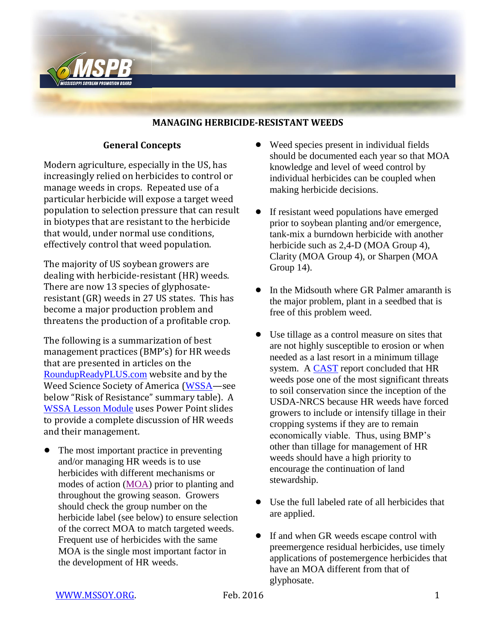

#### **MANAGING HERBICIDE-RESISTANT WEEDS**

## **General Concepts**

Modern agriculture, especially in the US, has increasingly relied on herbicides to control or manage weeds in crops. Repeated use of a particular herbicide will expose a target weed population to selection pressure that can result in biotypes that are resistant to the herbicide that would, under normal use conditions, effectively control that weed population.

The majority of US soybean growers are dealing with herbicide-resistant (HR) weeds. There are now 13 species of glyphosateresistant (GR) weeds in 27 US states. This has become a major production problem and threatens the production of a profitable crop.

The following is a summarization of best management practices (BMP's) for HR weeds that are presented in articles on the [RoundupReadyPLUS.com](https://www.roundupreadyplus.com/Pages/Home.aspx) website and by the Weed Science Society of America ([WSSA](http://wssa.net/weed/resistance/)—see below "Risk of Resistance" summary table). A [WSSA Lesson Module](http://wssa.net/2011/12/wssa-lesson-module-herbicide-resistant-weeds/) uses Power Point slides to provide a complete discussion of HR weeds and their management.

The most important practice in preventing and/or managing HR weeds is to use herbicides with different mechanisms or modes of action [\(MOA\)](http://mssoy.org/wp-content/uploads/2012/04/HERBICIDE-MOA-MAR.-2012.pdf) prior to planting and throughout the growing season. Growers should check the group number on the herbicide label (see below) to ensure selection of the correct MOA to match targeted weeds. Frequent use of herbicides with the same MOA is the single most important factor in the development of HR weeds.

- Weed species present in individual fields should be documented each year so that MOA knowledge and level of weed control by individual herbicides can be coupled when making herbicide decisions.
- If resistant weed populations have emerged prior to soybean planting and/or emergence, tank-mix a burndown herbicide with another herbicide such as 2,4-D (MOA Group 4), Clarity (MOA Group 4), or Sharpen (MOA Group 14).
- In the Midsouth where GR Palmer amaranth is the major problem, plant in a seedbed that is free of this problem weed.
- Use tillage as a control measure on sites that are not highly susceptible to erosion or when needed as a last resort in a minimum tillage system. A [CAST](http://www.cast-science.org/publications/?herbicideresistant_weeds_threaten_soil_conservation_gains_finding_a_balance_for_soil_and_farm_sustainability&show=product&productID=52723http://www.cast-science.org/publications/) report concluded that HR weeds pose one of the most significant threats to soil conservation since the inception of the USDA-NRCS because HR weeds have forced growers to include or intensify tillage in their cropping systems if they are to remain economically viable. Thus, using BMP's other than tillage for management of HR weeds should have a high priority to encourage the continuation of land stewardship.
- Use the full labeled rate of all herbicides that are applied.
- If and when GR weeds escape control with preemergence residual herbicides, use timely applications of postemergence herbicides that have an MOA different from that of glyphosate.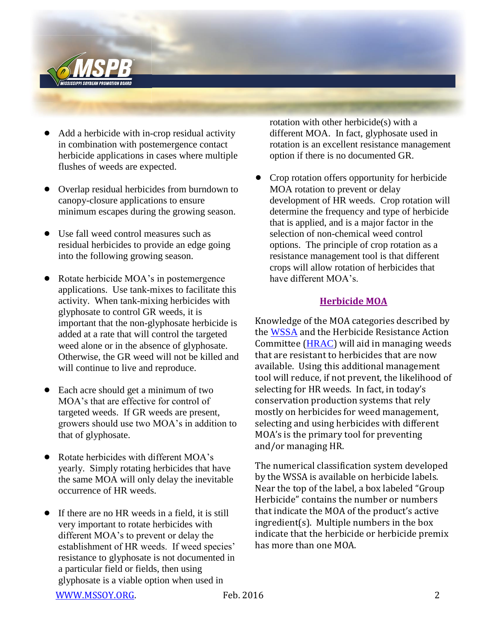

- ! Add a herbicide with in-crop residual activity in combination with postemergence contact herbicide applications in cases where multiple flushes of weeds are expected.
- Overlap residual herbicides from burndown to canopy-closure applications to ensure minimum escapes during the growing season.
- Use fall weed control measures such as residual herbicides to provide an edge going into the following growing season.
- Rotate herbicide MOA's in postemergence applications. Use tank-mixes to facilitate this activity. When tank-mixing herbicides with glyphosate to control GR weeds, it is important that the non-glyphosate herbicide is added at a rate that will control the targeted weed alone or in the absence of glyphosate. Otherwise, the GR weed will not be killed and will continue to live and reproduce.
- Each acre should get a minimum of two MOA's that are effective for control of targeted weeds. If GR weeds are present, growers should use two MOA's in addition to that of glyphosate.
- Rotate herbicides with different MOA's yearly. Simply rotating herbicides that have the same MOA will only delay the inevitable occurrence of HR weeds.
- If there are no HR weeds in a field, it is still very important to rotate herbicides with different MOA's to prevent or delay the establishment of HR weeds. If weed species' resistance to glyphosate is not documented in a particular field or fields, then using glyphosate is a viable option when used in

rotation with other herbicide(s) with a different MOA. In fact, glyphosate used in rotation is an excellent resistance management option if there is no documented GR.

• Crop rotation offers opportunity for herbicide MOA rotation to prevent or delay development of HR weeds. Crop rotation will determine the frequency and type of herbicide that is applied, and is a major factor in the selection of non-chemical weed control options. The principle of crop rotation as a resistance management tool is that different crops will allow rotation of herbicides that have different MOA's.

### **[Herbicide MOA](http://mssoy.org/wp-content/uploads/2012/04/HERBICIDE-MOA-MAR.-2012.pdf)**

Knowledge of the MOA categories described by the [WSSA](http://wssa.net/wp-content/uploads/HerbicideMOAClassification.pdf) and the Herbicide Resistance Action Committee ([HRAC](http://hracglobal.com/pages/classificationofherbicidesiteofaction.aspx)) will aid in managing weeds that are resistant to herbicides that are now available. Using this additional management tool will reduce, if not prevent, the likelihood of selecting for HR weeds. In fact, in today's conservation production systems that rely mostly on herbicides for weed management, selecting and using herbicides with different MOA's is the primary tool for preventing and/or managing HR.

The numerical classification system developed by the WSSA is available on herbicide labels. Near the top of the label, a box labeled "Group Herbicide" contains the number or numbers that indicate the MOA of the product's active ingredient(s). Multiple numbers in the box indicate that the herbicide or herbicide premix has more than one MOA.

[WWW.MSSOY.ORG.](http://www.mssoy.org/) The reduced Feb. 2016 2016